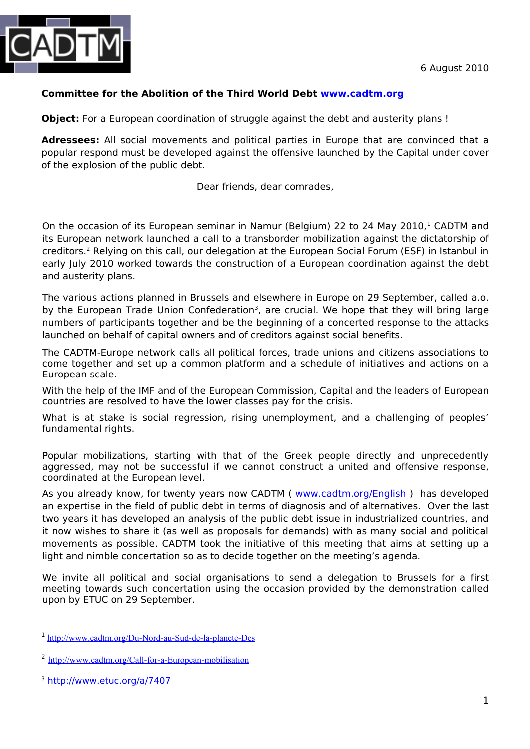

### **Committee for the Abolition of the Third World Debt [www.cadtm.org](http://www.cadtm.org/)**

**Object:** For a European coordination of struggle against the debt and austerity plans!

**Adressees:** All social movements and political parties in Europe that are convinced that a popular respond must be developed against the offensive launched by the Capital under cover of the explosion of the public debt.

#### Dear friends, dear comrades,

On the occasion of its European seminar in Namur (Belgium) 22 to 24 May 20[1](#page-0-0)0,<sup>1</sup> CADTM and its European network launched a call to a transborder mobilization against the dictatorship of creditors.<sup>[2](#page-0-1)</sup> Relying on this call, our delegation at the European Social Forum (ESF) in Istanbul in early July 2010 worked towards the construction of a European coordination against the debt and austerity plans.

The various actions planned in Brussels and elsewhere in Europe on 29 September, called a.o. by the European Trade Union Confederation<sup>[3](#page-0-2)</sup>, are crucial. We hope that they will bring large numbers of participants together and be the beginning of a concerted response to the attacks launched on behalf of capital owners and of creditors against social benefits.

The CADTM-Europe network calls all political forces, trade unions and citizens associations to come together and set up a common platform and a schedule of initiatives and actions on a European scale.

With the help of the IMF and of the European Commission, Capital and the leaders of European countries are resolved to have the lower classes pay for the crisis.

What is at stake is social regression, rising unemployment, and a challenging of peoples' fundamental rights.

Popular mobilizations, starting with that of the Greek people directly and unprecedently aggressed, may not be successful if we cannot construct a united and offensive response, coordinated at the European level.

As you already know, for twenty years now CADTM ( [www.cadtm.org/English](http://www.cadtm.org/English) ) has developed an expertise in the field of public debt in terms of diagnosis and of alternatives. Over the last two years it has developed an analysis of the public debt issue in industrialized countries, and it now wishes to share it (as well as proposals for demands) with as many social and political movements as possible. CADTM took the initiative of this meeting that aims at setting up a light and nimble concertation so as to decide together on the meeting's agenda.

We invite all political and social organisations to send a delegation to Brussels for a first meeting towards such concertation using the occasion provided by the demonstration called upon by ETUC on 29 September.

<span id="page-0-0"></span><sup>&</sup>lt;sup>1</sup> <http://www.cadtm.org/Du-Nord-au-Sud-de-la-planete-Des>

<span id="page-0-1"></span><sup>&</sup>lt;sup>2</sup> <http://www.cadtm.org/Call-for-a-European-mobilisation>

<span id="page-0-2"></span><sup>&</sup>lt;sup>3</sup> <http://www.etuc.org/a/7407>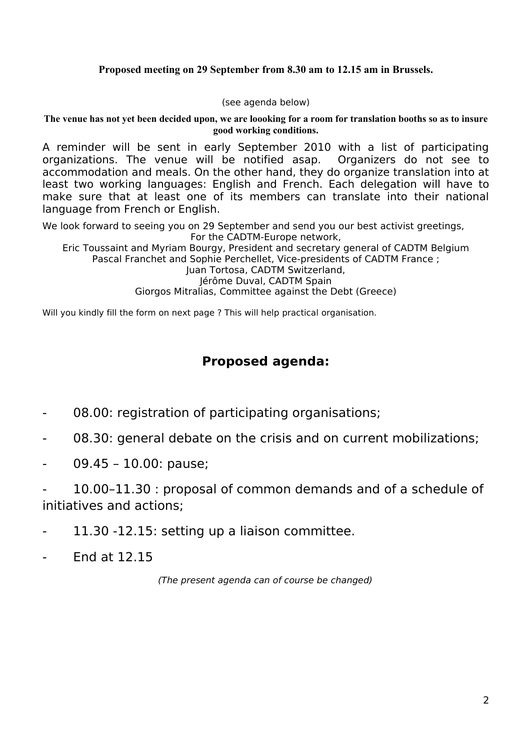### **Proposed meeting on 29 September from 8.30 am to 12.15 am in Brussels.**

(see agenda below)

**The venue has not yet been decided upon, we are loooking for a room for translation booths so as to insure good working conditions.**

A reminder will be sent in early September 2010 with a list of participating organizations. The venue will be notified asap. Organizers do not see to accommodation and meals. On the other hand, they do organize translation into at least two working languages: English and French. Each delegation will have to make sure that at least one of its members can translate into their national language from French or English.

We look forward to seeing you on 29 September and send you our best activist greetings, For the CADTM-Europe network,

Eric Toussaint and Myriam Bourgy, President and secretary general of CADTM Belgium Pascal Franchet and Sophie Perchellet, Vice-presidents of CADTM France ; Juan Tortosa, CADTM Switzerland, Jérôme Duval, CADTM Spain Giorgos Mitralias, Committee against the Debt (Greece)

Will you kindly fill the form on next page ? This will help practical organisation.

## **Proposed agenda:**

- 08.00: registration of participating organisations;
- 08.30: general debate on the crisis and on current mobilizations;
- 09.45 10.00: pause;

- 10.00–11.30 : proposal of common demands and of a schedule of initiatives and actions;

- 11.30 -12.15: setting up a liaison committee.
- End at 12.15

(The present agenda can of course be changed)